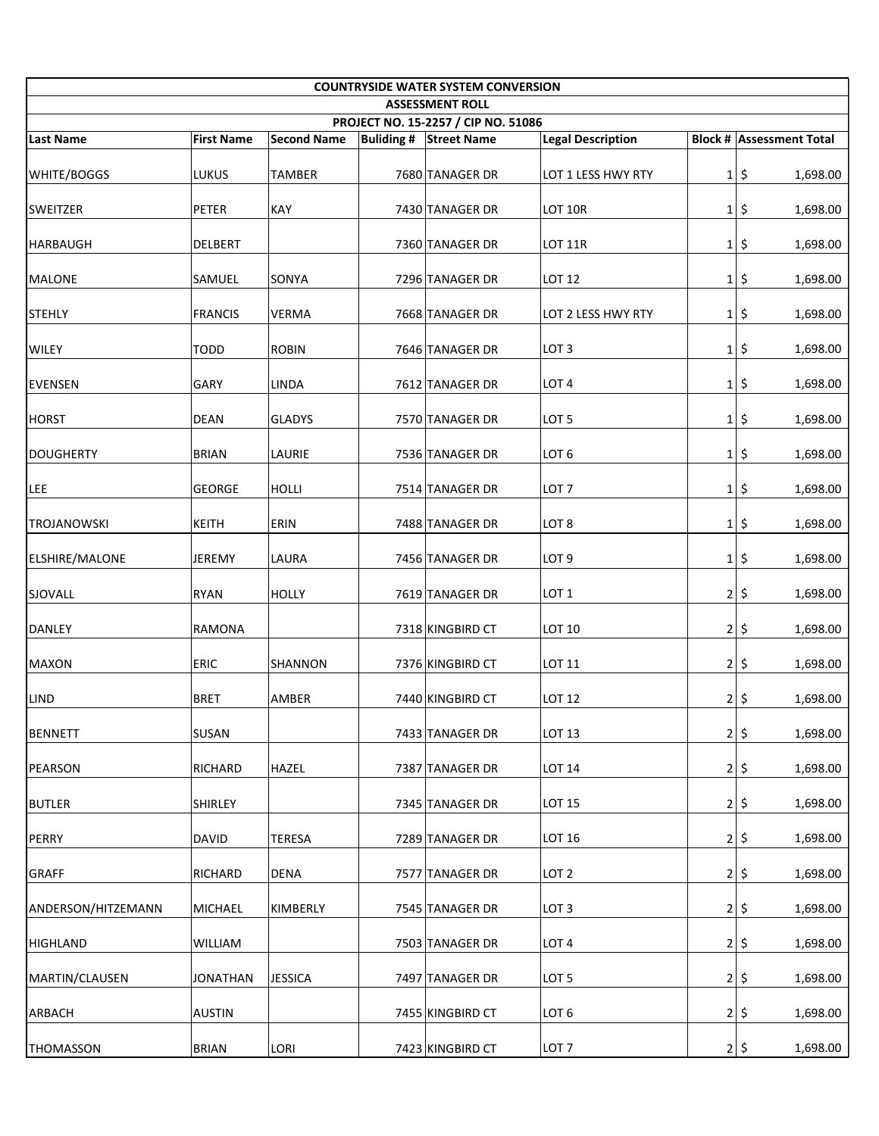| <b>COUNTRYSIDE WATER SYSTEM CONVERSION</b><br><b>ASSESSMENT ROLL</b> |                   |                    |  |                               |                          |                |                                 |  |  |  |  |
|----------------------------------------------------------------------|-------------------|--------------------|--|-------------------------------|--------------------------|----------------|---------------------------------|--|--|--|--|
| PROJECT NO. 15-2257 / CIP NO. 51086                                  |                   |                    |  |                               |                          |                |                                 |  |  |  |  |
| Last Name                                                            | <b>First Name</b> | <b>Second Name</b> |  | <b>Buliding # Street Name</b> | <b>Legal Description</b> |                | <b>Block # Assessment Total</b> |  |  |  |  |
| <b>WHITE/BOGGS</b>                                                   | LUKUS             | <b>TAMBER</b>      |  | 7680 TANAGER DR               | LOT 1 LESS HWY RTY       |                | $1$  \$<br>1,698.00             |  |  |  |  |
| <b>SWEITZER</b>                                                      | PETER             | KAY                |  | 7430 TANAGER DR               | LOT 10R                  | $1\vert$       | \$<br>1,698.00                  |  |  |  |  |
| HARBAUGH                                                             | DELBERT           |                    |  | 7360 TANAGER DR               | <b>LOT 11R</b>           | $1\vert$       | \$<br>1,698.00                  |  |  |  |  |
| <b>MALONE</b>                                                        | SAMUEL            | <b>SONYA</b>       |  | 7296 TANAGER DR               | <b>LOT 12</b>            | $1\vert$       | \$<br>1,698.00                  |  |  |  |  |
| <b>STEHLY</b>                                                        | <b>FRANCIS</b>    | <b>VERMA</b>       |  | 7668 TANAGER DR               | LOT 2 LESS HWY RTY       | $1\vert$       | \$<br>1,698.00                  |  |  |  |  |
| <b>WILEY</b>                                                         | <b>TODD</b>       | <b>ROBIN</b>       |  | 7646 TANAGER DR               | LOT <sub>3</sub>         | $1\vert$       | \$<br>1,698.00                  |  |  |  |  |
| <b>EVENSEN</b>                                                       | GARY              | LINDA              |  | 7612 TANAGER DR               | LOT <sub>4</sub>         |                | $1$  \$<br>1,698.00             |  |  |  |  |
| <b>HORST</b>                                                         | <b>DEAN</b>       | <b>GLADYS</b>      |  | 7570 TANAGER DR               | LOT <sub>5</sub>         |                | $1$  \$<br>1,698.00             |  |  |  |  |
| DOUGHERTY                                                            | <b>BRIAN</b>      | LAURIE             |  | 7536 TANAGER DR               | LOT <sub>6</sub>         |                | $1$  \$<br>1,698.00             |  |  |  |  |
| LEE                                                                  | <b>GEORGE</b>     | <b>HOLLI</b>       |  | 7514 TANAGER DR               | LOT <sub>7</sub>         | $1\vert$       | \$<br>1,698.00                  |  |  |  |  |
| <b>TROJANOWSKI</b>                                                   | <b>KEITH</b>      | <b>ERIN</b>        |  | 7488 TANAGER DR               | LOT <sub>8</sub>         | $1\vert$       | \$<br>1,698.00                  |  |  |  |  |
| <b>ELSHIRE/MALONE</b>                                                | JEREMY            | LAURA              |  | 7456 TANAGER DR               | LOT <sub>9</sub>         | $1\vert$       | \$<br>1,698.00                  |  |  |  |  |
| SJOVALL                                                              | <b>RYAN</b>       | <b>HOLLY</b>       |  | 7619 TANAGER DR               | LOT <sub>1</sub>         | 2              | \$<br>1,698.00                  |  |  |  |  |
| <b>DANLEY</b>                                                        | RAMONA            |                    |  | 7318 KINGBIRD CT              | <b>LOT 10</b>            |                | 2 5<br>1,698.00                 |  |  |  |  |
| <b>MAXON</b>                                                         | ERIC              | <b>SHANNON</b>     |  | 7376 KINGBIRD CT              | LOT 11                   |                | 2 5<br>1,698.00                 |  |  |  |  |
| LIND                                                                 | <b>BRET</b>       | AMBER              |  | 7440 KINGBIRD CT              | LOT 12                   |                | 2 5<br>1,698.00                 |  |  |  |  |
| <b>BENNETT</b>                                                       | SUSAN             |                    |  | 7433 TANAGER DR               | LOT 13                   | 2              | \$<br>1,698.00                  |  |  |  |  |
| PEARSON                                                              | <b>RICHARD</b>    | <b>HAZEL</b>       |  | 7387 TANAGER DR               | <b>LOT 14</b>            | 2              | \$<br>1,698.00                  |  |  |  |  |
| <b>BUTLER</b>                                                        | SHIRLEY           |                    |  | 7345 TANAGER DR               | <b>LOT 15</b>            | $\overline{2}$ | \$<br>1,698.00                  |  |  |  |  |
| PERRY                                                                | <b>DAVID</b>      | <b>TERESA</b>      |  | 7289 TANAGER DR               | <b>LOT 16</b>            | $\overline{2}$ | \$<br>1,698.00                  |  |  |  |  |
| <b>GRAFF</b>                                                         | <b>RICHARD</b>    | <b>DENA</b>        |  | 7577 TANAGER DR               | LOT <sub>2</sub>         | 2              | \$<br>1,698.00                  |  |  |  |  |
| ANDERSON/HITZEMANN                                                   | MICHAEL           | KIMBERLY           |  | 7545 TANAGER DR               | LOT <sub>3</sub>         |                | 2 5<br>1,698.00                 |  |  |  |  |
| HIGHLAND                                                             | WILLIAM           |                    |  | 7503 TANAGER DR               | LOT <sub>4</sub>         |                | 2 5<br>1,698.00                 |  |  |  |  |
| MARTIN/CLAUSEN                                                       | <b>JONATHAN</b>   | <b>JESSICA</b>     |  | 7497 TANAGER DR               | LOT <sub>5</sub>         |                | 2 5<br>1,698.00                 |  |  |  |  |
| ARBACH                                                               | <b>AUSTIN</b>     |                    |  | 7455 KINGBIRD CT              | LOT <sub>6</sub>         |                | 2 5<br>1,698.00                 |  |  |  |  |
| THOMASSON                                                            | <b>BRIAN</b>      | LORI               |  | 7423 KINGBIRD CT              | LOT <sub>7</sub>         |                | $2 \mid 5$<br>1,698.00          |  |  |  |  |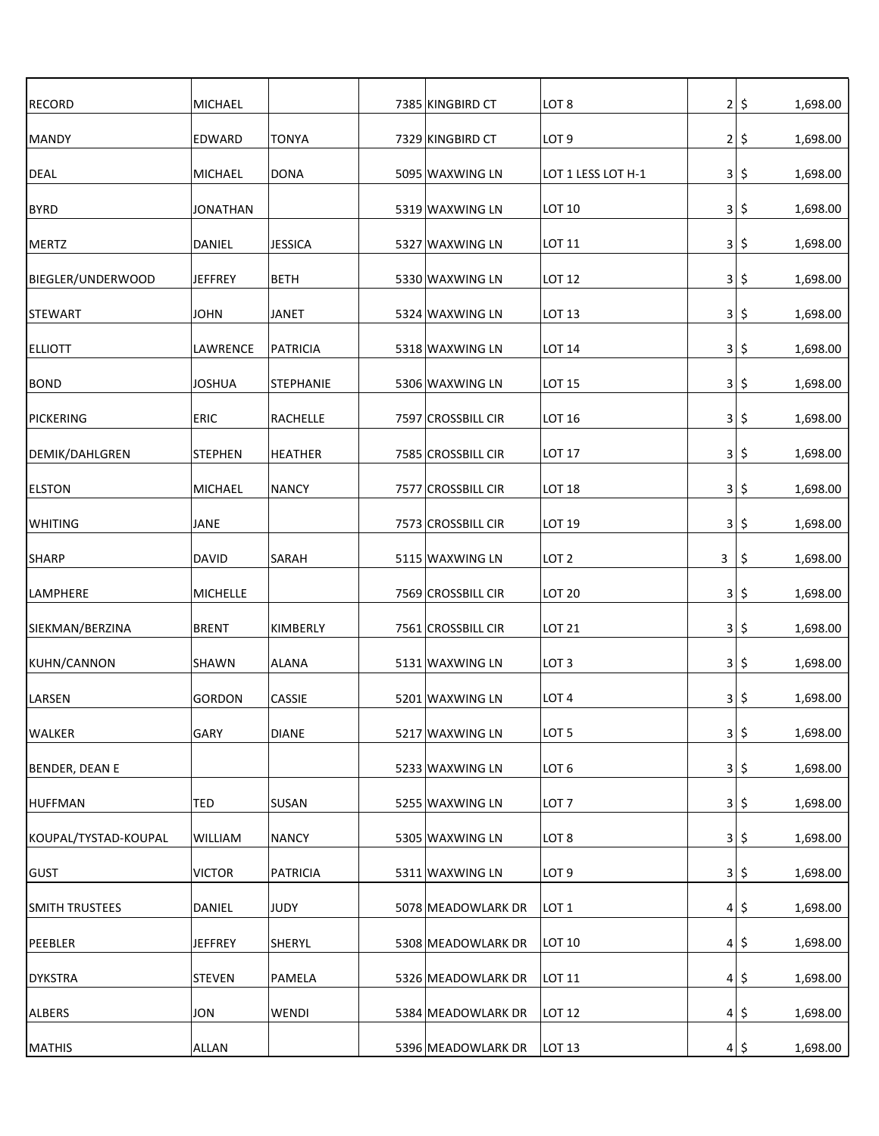| <b>RECORD</b>         | MICHAEL         |                  | 7385 KINGBIRD CT   | LOT <sub>8</sub>   | $\overline{2}$ | \$  | 1,698.00 |
|-----------------------|-----------------|------------------|--------------------|--------------------|----------------|-----|----------|
| MANDY                 | EDWARD          | <b>TONYA</b>     | 7329 KINGBIRD CT   | LOT <sub>9</sub>   | 2              | \$  | 1,698.00 |
| <b>DEAL</b>           | MICHAEL         | DONA             | 5095 WAXWING LN    | LOT 1 LESS LOT H-1 | 3              | \$  | 1,698.00 |
| <b>BYRD</b>           | <b>JONATHAN</b> |                  | 5319 WAXWING LN    | LOT 10             | $\vert$ 3      | \$  | 1,698.00 |
| MERTZ                 | DANIEL          | <b>JESSICA</b>   | 5327 WAXWING LN    | LOT 11             | 3              | \$, | 1,698.00 |
| BIEGLER/UNDERWOOD     | <b>JEFFREY</b>  | <b>BETH</b>      | 5330 WAXWING LN    | <b>LOT 12</b>      | 3              | \$. | 1,698.00 |
| <b>STEWART</b>        | <b>JOHN</b>     | <b>JANET</b>     | 5324 WAXWING LN    | LOT 13             | 3              | \$. | 1,698.00 |
| <b>ELLIOTT</b>        | LAWRENCE        | <b>PATRICIA</b>  | 5318 WAXWING LN    | <b>LOT 14</b>      | $\vert$ 3      | \$. | 1,698.00 |
| <b>BOND</b>           | <b>JOSHUA</b>   | <b>STEPHANIE</b> | 5306 WAXWING LN    | <b>LOT 15</b>      | 3              | \$  | 1,698.00 |
| PICKERING             | <b>ERIC</b>     | <b>RACHELLE</b>  | 7597 CROSSBILL CIR | LOT 16             | 3              | \$  | 1,698.00 |
| DEMIK/DAHLGREN        | <b>STEPHEN</b>  | <b>HEATHER</b>   | 7585 CROSSBILL CIR | <b>LOT 17</b>      | $\vert$ 3      | \$  | 1,698.00 |
| <b>ELSTON</b>         | MICHAEL         | <b>NANCY</b>     | 7577 CROSSBILL CIR | <b>LOT 18</b>      | 3              | \$  | 1,698.00 |
| <b>WHITING</b>        | JANE            |                  | 7573 CROSSBILL CIR | LOT 19             | 3              | \$  | 1,698.00 |
| <b>SHARP</b>          | <b>DAVID</b>    | <b>SARAH</b>     | 5115 WAXWING LN    | LOT <sub>2</sub>   | 3              | \$  | 1,698.00 |
| <b>LAMPHERE</b>       | <b>MICHELLE</b> |                  | 7569 CROSSBILL CIR | <b>LOT 20</b>      | 3              | \$  | 1,698.00 |
| SIEKMAN/BERZINA       | <b>BRENT</b>    | KIMBERLY         | 7561 CROSSBILL CIR | <b>LOT 21</b>      | 3              | \$  | 1,698.00 |
| KUHN/CANNON           | <b>SHAWN</b>    | <b>ALANA</b>     | 5131 WAXWING LN    | LOT <sub>3</sub>   | $\vert$ 3      | \$  | 1,698.00 |
| LARSEN                | <b>GORDON</b>   | CASSIE           | 5201 WAXWING LN    | LOT <sub>4</sub>   | $\vert$        | \$  | 1,698.00 |
| <b>WALKER</b>         | GARY            | <b>DIANE</b>     | 5217 WAXWING LN    | LOT <sub>5</sub>   | 3              | \$  | 1,698.00 |
| BENDER, DEAN E        |                 |                  | 5233 WAXWING LN    | LOT <sub>6</sub>   | $\vert$ 3      | \$  | 1,698.00 |
| <b>HUFFMAN</b>        | TED             | <b>SUSAN</b>     | 5255 WAXWING LN    | LOT <sub>7</sub>   | 3 <sup>1</sup> | \$  | 1,698.00 |
| KOUPAL/TYSTAD-KOUPAL  | WILLIAM         | <b>NANCY</b>     | 5305 WAXWING LN    | LOT <sub>8</sub>   | 3              | \$  | 1,698.00 |
| <b>GUST</b>           | <b>VICTOR</b>   | PATRICIA         | 5311 WAXWING LN    | LOT <sub>9</sub>   | 3              | \$  | 1,698.00 |
| <b>SMITH TRUSTEES</b> | DANIEL          | JUDY             | 5078 MEADOWLARK DR | LOT <sub>1</sub>   | 4              | \$  | 1,698.00 |
| PEEBLER               | <b>JEFFREY</b>  | <b>SHERYL</b>    | 5308 MEADOWLARK DR | LOT 10             | 4              | \$  | 1,698.00 |
| <b>DYKSTRA</b>        | <b>STEVEN</b>   | PAMELA           | 5326 MEADOWLARK DR | LOT 11             | $\vert$        | \$  | 1,698.00 |
| <b>ALBERS</b>         | JON             | WENDI            | 5384 MEADOWLARK DR | <b>LOT 12</b>      | 4              | \$  | 1,698.00 |
| <b>MATHIS</b>         | ALLAN           |                  | 5396 MEADOWLARK DR | LOT 13             | 4              | \$  | 1,698.00 |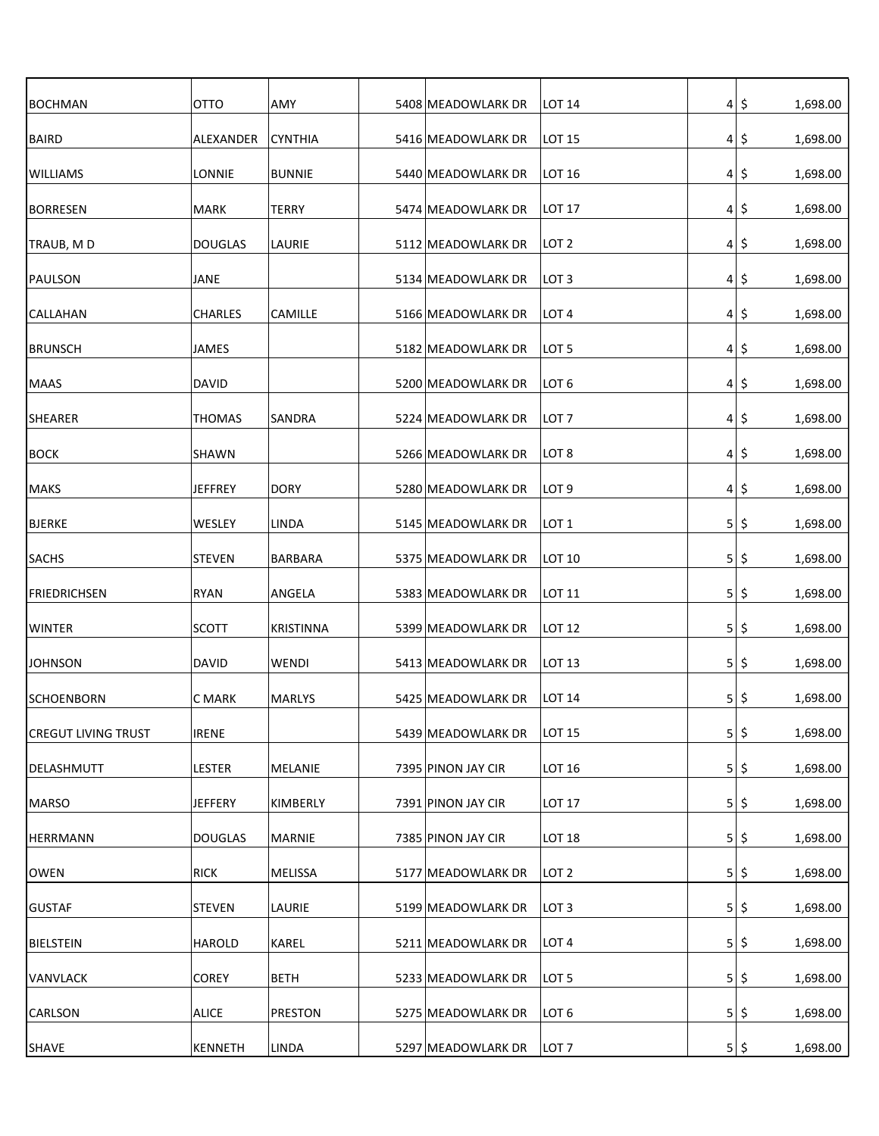| <b>BOCHMAN</b>             | OTTO           | AMY            | 5408 MEADOWLARK DR | LOT 14            |                | 4 5     | 1,698.00 |
|----------------------------|----------------|----------------|--------------------|-------------------|----------------|---------|----------|
| BAIRD                      | ALEXANDER      | <b>CYNTHIA</b> | 5416 MEADOWLARK DR | LOT 15            |                | 4 5     | 1,698.00 |
| <b>WILLIAMS</b>            | LONNIE         | <b>BUNNIE</b>  | 5440 MEADOWLARK DR | <b>LOT 16</b>     | $\vert$        | \$      | 1,698.00 |
| BORRESEN                   | MARK           | TERRY          | 5474 MEADOWLARK DR | <b>LOT 17</b>     | 4 <sup>1</sup> | \$      | 1,698.00 |
| TRAUB, MD                  | <b>DOUGLAS</b> | LAURIE         | 5112 MEADOWLARK DR | LOT 2             | $\vert$        | \$      | 1,698.00 |
| PAULSON                    | JANE           |                | 5134 MEADOWLARK DR | ILOT 3            | $\vert$        | \$      | 1,698.00 |
| <b>CALLAHAN</b>            | <b>CHARLES</b> | CAMILLE        | 5166 MEADOWLARK DR | ILOT 4            |                | 4 5     | 1,698.00 |
| <b>BRUNSCH</b>             | JAMES          |                | 5182 MEADOWLARK DR | LOT 5             |                | 4 5     | 1,698.00 |
| <b>MAAS</b>                | <b>DAVID</b>   |                | 5200 MEADOWLARK DR | LOT 6             |                | 4 5     | 1,698.00 |
| <b>SHEARER</b>             | <b>THOMAS</b>  | <b>SANDRA</b>  | 5224 MEADOWLARK DR | LOT <sub>7</sub>  |                | 4 5     | 1,698.00 |
| <b>BOCK</b>                | SHAWN          |                | 5266 MEADOWLARK DR | LOT <sub>8</sub>  |                | 4 5     | 1,698.00 |
| <b>MAKS</b>                | <b>JEFFREY</b> | <b>DORY</b>    | 5280 MEADOWLARK DR | LOT <sub>9</sub>  |                | 4 5     | 1,698.00 |
| BJERKE                     | WESLEY         | LINDA          | 5145 MEADOWLARK DR | LOT 1             |                | $5 $ \$ | 1,698.00 |
| <b>SACHS</b>               | <b>STEVEN</b>  | <b>BARBARA</b> | 5375 MEADOWLARK DR | LOT 10            |                | $5 $ \$ | 1,698.00 |
| <b>FRIEDRICHSEN</b>        | <b>RYAN</b>    | ANGELA         | 5383 MEADOWLARK DR | $ $ LOT 11        |                | $5 $ \$ | 1,698.00 |
| <b>WINTER</b>              | <b>SCOTT</b>   | KRISTINNA      | 5399 MEADOWLARK DR | LOT 12            |                | $5$ \$  | 1,698.00 |
| <b>JOHNSON</b>             | DAVID          | WENDI          | 5413 MEADOWLARK DR | LOT 13            |                | 5 5     | 1,698.00 |
| <b>SCHOENBORN</b>          | C MARK         | <b>MARLYS</b>  | 5425 MEADOWLARK DR | LOT 14            |                | $5 $ \$ | 1,698.00 |
| <b>CREGUT LIVING TRUST</b> | <b>IRENE</b>   |                | 5439 MEADOWLARK DR | LOT 15            |                | $5$ \$  | 1,698.00 |
| DELASHMUTT                 | LESTER         | MELANIE        | 7395 PINON JAY CIR | LOT <sub>16</sub> | 5              | \$      | 1,698.00 |
| MARSO                      | <b>JEFFERY</b> | KIMBERLY       | 7391 PINON JAY CIR | <b>LOT 17</b>     | 5              | \$      | 1,698.00 |
| <b>HERRMANN</b>            | <b>DOUGLAS</b> | <b>MARNIE</b>  | 7385 PINON JAY CIR | LOT <sub>18</sub> |                | $5$  \$ | 1,698.00 |
| <b>OWEN</b>                | <b>RICK</b>    | <b>MELISSA</b> | 5177 MEADOWLARK DR | ILOT 2            |                | $5$  \$ | 1,698.00 |
| <b>GUSTAF</b>              | <b>STEVEN</b>  | LAURIE         | 5199 MEADOWLARK DR | LOT 3             |                | $5 $ \$ | 1,698.00 |
| BIELSTEIN                  | HAROLD         | KAREL          | 5211 MEADOWLARK DR | LOT <sub>4</sub>  |                | $5$  \$ | 1,698.00 |
| <b>VANVLACK</b>            | COREY          | <b>BETH</b>    | 5233 MEADOWLARK DR | LOT 5             |                | $5$ \$  | 1,698.00 |
| <b>CARLSON</b>             | <b>ALICE</b>   | <b>PRESTON</b> | 5275 MEADOWLARK DR | LOT <sub>6</sub>  |                | $5$ \$  | 1,698.00 |
| SHAVE                      | <b>KENNETH</b> | LINDA          | 5297 MEADOWLARK DR | LOT <sub>7</sub>  |                | $5$ \$  | 1,698.00 |
|                            |                |                |                    |                   |                |         |          |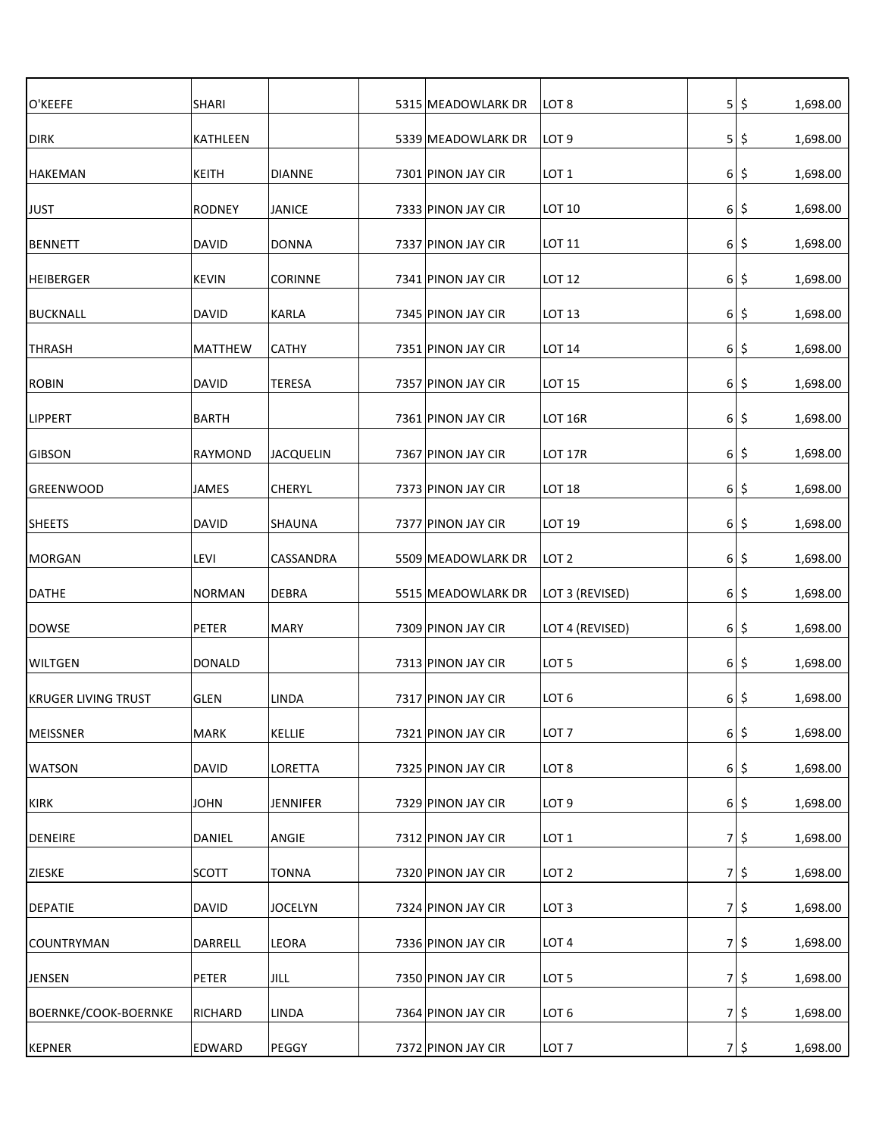| O'KEEFE                    | <b>SHARI</b>   |                  | 5315 MEADOWLARK DR | LOT <sub>8</sub> | 5              | \$      | 1,698.00 |
|----------------------------|----------------|------------------|--------------------|------------------|----------------|---------|----------|
| <b>DIRK</b>                | KATHLEEN       |                  | 5339 MEADOWLARK DR | LOT <sub>9</sub> | 5 <sub>l</sub> | \$      | 1,698.00 |
| <b>HAKEMAN</b>             | KEITH          | <b>DIANNE</b>    | 7301 PINON JAY CIR | LOT <sub>1</sub> | $6 \mid$       | \$      | 1,698.00 |
| <b>JUST</b>                | <b>RODNEY</b>  | <b>JANICE</b>    | 7333 PINON JAY CIR | <b>LOT 10</b>    | $6 \mid$       | \$      | 1,698.00 |
| <b>BENNETT</b>             | <b>DAVID</b>   | <b>DONNA</b>     | 7337 PINON JAY CIR | <b>LOT 11</b>    | 6 <sup>1</sup> | \$      | 1,698.00 |
| HEIBERGER                  | <b>KEVIN</b>   | <b>CORINNE</b>   | 7341 PINON JAY CIR | <b>LOT 12</b>    | 6 <sup>1</sup> | \$      | 1,698.00 |
| <b>BUCKNALL</b>            | DAVID          | KARLA            | 7345 PINON JAY CIR | LOT 13           | 6 <sup>1</sup> | \$.     | 1,698.00 |
| <b>THRASH</b>              | <b>MATTHEW</b> | <b>CATHY</b>     | 7351 PINON JAY CIR | <b>LOT 14</b>    | 6 <sup>1</sup> | \$      | 1,698.00 |
| <b>ROBIN</b>               | <b>DAVID</b>   | <b>TERESA</b>    | 7357 PINON JAY CIR | <b>LOT 15</b>    | $6 \mid$       | \$      | 1,698.00 |
| <b>LIPPERT</b>             | <b>BARTH</b>   |                  | 7361 PINON JAY CIR | <b>LOT 16R</b>   | $6 \mid$       | \$      | 1,698.00 |
| <b>GIBSON</b>              | <b>RAYMOND</b> | <b>JACQUELIN</b> | 7367 PINON JAY CIR | LOT 17R          | $6 \mid$       | \$      | 1,698.00 |
| <b>GREENWOOD</b>           | <b>JAMES</b>   | <b>CHERYL</b>    | 7373 PINON JAY CIR | LOT 18           | $6 \mid$       | \$      | 1,698.00 |
| <b>SHEETS</b>              | <b>DAVID</b>   | <b>SHAUNA</b>    | 7377 PINON JAY CIR | LOT 19           | 6 <sup>1</sup> | \$      | 1,698.00 |
| <b>MORGAN</b>              | LEVI           | CASSANDRA        | 5509 MEADOWLARK DR | LOT <sub>2</sub> | 6 <sup>1</sup> | \$      | 1,698.00 |
| <b>DATHE</b>               | <b>NORMAN</b>  | <b>DEBRA</b>     | 5515 MEADOWLARK DR | LOT 3 (REVISED)  | 6 <sup>1</sup> | \$      | 1,698.00 |
| <b>DOWSE</b>               | PETER          | MARY             | 7309 PINON JAY CIR | LOT 4 (REVISED)  | 6 <sup>1</sup> | \$      | 1,698.00 |
| <b>WILTGEN</b>             | <b>DONALD</b>  |                  | 7313 PINON JAY CIR | LOT <sub>5</sub> | 6 <sup>1</sup> | \$      | 1,698.00 |
| <b>KRUGER LIVING TRUST</b> | <b>GLEN</b>    | LINDA            | 7317 PINON JAY CIR | LOT <sub>6</sub> | $6 \mid$       | \$      | 1,698.00 |
| MEISSNER                   | <b>MARK</b>    | KELLIE           | 7321 PINON JAY CIR | LOT <sub>7</sub> | $6 \mid$       | \$      | 1,698.00 |
| <b>WATSON</b>              | <b>DAVID</b>   | <b>LORETTA</b>   | 7325 PINON JAY CIR | LOT <sub>8</sub> | $6 \mid$       | \$      | 1,698.00 |
| KIRK                       | <b>JOHN</b>    | <b>JENNIFER</b>  | 7329 PINON JAY CIR | LOT <sub>9</sub> | 6 <sup>1</sup> | \$      | 1,698.00 |
| <b>DENEIRE</b>             | DANIEL         | ANGIE            | 7312 PINON JAY CIR | LOT <sub>1</sub> | 7 <sup>1</sup> | \$      | 1,698.00 |
| ZIESKE                     | <b>SCOTT</b>   | <b>TONNA</b>     | 7320 PINON JAY CIR | LOT <sub>2</sub> |                | $7 $ \$ | 1,698.00 |
| <b>DEPATIE</b>             | <b>DAVID</b>   | <b>JOCELYN</b>   | 7324 PINON JAY CIR | LOT <sub>3</sub> | 7 <sup>1</sup> | \$      | 1,698.00 |
| <b>COUNTRYMAN</b>          | DARRELL        | <b>LEORA</b>     | 7336 PINON JAY CIR | LOT <sub>4</sub> | 7              | \$      | 1,698.00 |
| <b>JENSEN</b>              | PETER          | JILL             | 7350 PINON JAY CIR | LOT <sub>5</sub> | 7 <sup>1</sup> | \$      | 1,698.00 |
| BOERNKE/COOK-BOERNKE       | RICHARD        | LINDA            | 7364 PINON JAY CIR | LOT <sub>6</sub> | 7 <sup>1</sup> | \$      | 1,698.00 |
| <b>KEPNER</b>              | EDWARD         | PEGGY            | 7372 PINON JAY CIR | LOT <sub>7</sub> | 7              | \$      | 1,698.00 |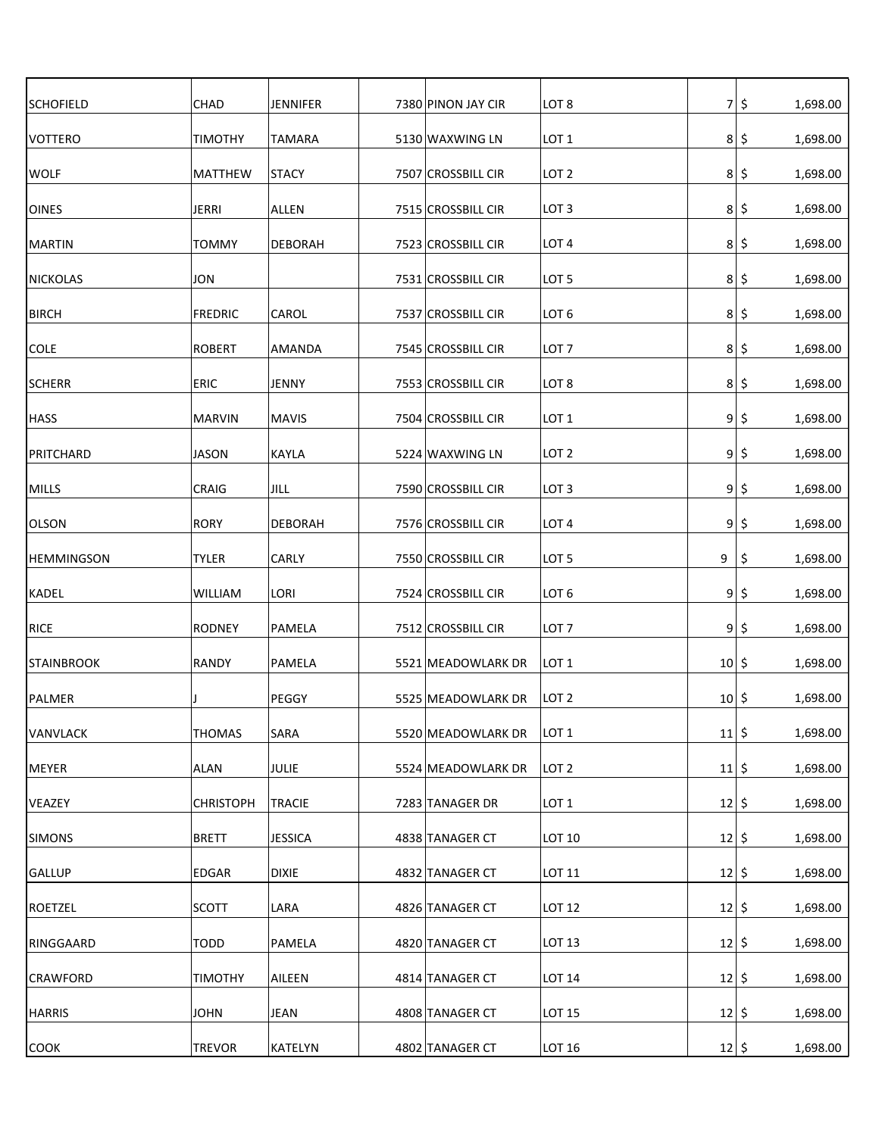| <b>SCHOFIELD</b>  | CHAD             | JENNIFER       | 7380 PINON JAY CIR | LOT <sub>8</sub> | 7 <sup>1</sup>      | \$<br>1,698.00  |
|-------------------|------------------|----------------|--------------------|------------------|---------------------|-----------------|
| VOTTERO           | <b>TIMOTHY</b>   | <b>TAMARA</b>  | 5130 WAXWING LN    | LOT <sub>1</sub> | 8 <sup>1</sup>      | \$<br>1,698.00  |
| <b>WOLF</b>       | <b>MATTHEW</b>   | <b>STACY</b>   | 7507 CROSSBILL CIR | LOT 2            | 8 <sup>1</sup>      | \$<br>1,698.00  |
| <b>OINES</b>      | <b>JERRI</b>     | ALLEN          | 7515 CROSSBILL CIR | LOT <sub>3</sub> | 8 <sup>1</sup>      | \$<br>1,698.00  |
| <b>MARTIN</b>     | <b>TOMMY</b>     | <b>DEBORAH</b> | 7523 CROSSBILL CIR | LOT <sub>4</sub> | 8 <sup>1</sup>      | \$.<br>1,698.00 |
| <b>NICKOLAS</b>   | JON              |                | 7531 CROSSBILL CIR | LOT <sub>5</sub> | 8 <sup>1</sup>      | \$.<br>1,698.00 |
| <b>BIRCH</b>      | <b>FREDRIC</b>   | CAROL          | 7537 CROSSBILL CIR | LOT <sub>6</sub> | 8 <sup>1</sup>      | \$.<br>1,698.00 |
| <b>COLE</b>       | <b>ROBERT</b>    | AMANDA         | 7545 CROSSBILL CIR | LOT <sub>7</sub> | 8 <sup>1</sup>      | \$<br>1,698.00  |
| <b>SCHERR</b>     | <b>ERIC</b>      | JENNY          | 7553 CROSSBILL CIR | LOT <sub>8</sub> | 8 <sup>1</sup>      | \$<br>1,698.00  |
| <b>HASS</b>       | <b>MARVIN</b>    | <b>MAVIS</b>   | 7504 CROSSBILL CIR | LOT <sub>1</sub> | 9 <sub>l</sub>      | \$<br>1,698.00  |
| PRITCHARD         | <b>JASON</b>     | <b>KAYLA</b>   | 5224 WAXWING LN    | LOT <sub>2</sub> | 9                   | \$<br>1,698.00  |
| MILLS             | CRAIG            | <b>JILL</b>    | 7590 CROSSBILL CIR | LOT <sub>3</sub> | 9 <sub>l</sub>      | \$<br>1,698.00  |
| <b>OLSON</b>      | <b>RORY</b>      | <b>DEBORAH</b> | 7576 CROSSBILL CIR | LOT <sub>4</sub> | 9                   | \$<br>1,698.00  |
| <b>HEMMINGSON</b> | <b>TYLER</b>     | CARLY          | 7550 CROSSBILL CIR | LOT <sub>5</sub> | 9                   | \$<br>1,698.00  |
| <b>KADEL</b>      | <b>WILLIAM</b>   | LORI           | 7524 CROSSBILL CIR | LOT <sub>6</sub> | 9 <sub>l</sub>      | \$<br>1,698.00  |
| <b>RICE</b>       | <b>RODNEY</b>    | PAMELA         | 7512 CROSSBILL CIR | LOT <sub>7</sub> | 9 <sub>l</sub>      | \$<br>1,698.00  |
| <b>STAINBROOK</b> | RANDY            | PAMELA         | 5521 MEADOWLARK DR | LOT <sub>1</sub> | 10 <sup>1</sup>     | \$<br>1,698.00  |
| PALMER            |                  | PEGGY          | 5525 MEADOWLARK DR | LOT <sub>2</sub> | 10 <sub>1</sub>     | \$<br>1,698.00  |
| VANVLACK          | <b>THOMAS</b>    | <b>SARA</b>    | 5520 MEADOWLARK DR | LOT <sub>1</sub> | 11                  | \$<br>1,698.00  |
| MEYER             | ALAN             | JULIE          | 5524 MEADOWLARK DR | LOT <sub>2</sub> | $11 \, \frac{1}{5}$ | 1,698.00        |
| VEAZEY            | <b>CHRISTOPH</b> | TRACIE         | 7283 TANAGER DR    | LOT <sub>1</sub> | $12 \mid 5$         | 1,698.00        |
| <b>SIMONS</b>     | <b>BRETT</b>     | <b>JESSICA</b> | 4838 TANAGER CT    | LOT 10           | 12 5                | 1,698.00        |
| <b>GALLUP</b>     | EDGAR            | <b>DIXIE</b>   | 4832 TANAGER CT    | LOT 11           | $12 \mid 5$         | 1,698.00        |
| ROETZEL           | <b>SCOTT</b>     | LARA           | 4826 TANAGER CT    | <b>LOT 12</b>    | $12 \mid 5$         | 1,698.00        |
| RINGGAARD         | <b>TODD</b>      | PAMELA         | 4820 TANAGER CT    | LOT 13           | 12                  | \$<br>1,698.00  |
| <b>CRAWFORD</b>   | <b>TIMOTHY</b>   | AILEEN         | 4814 TANAGER CT    | <b>LOT 14</b>    | 12                  | 1,698.00<br>\$  |
| <b>HARRIS</b>     | <b>JOHN</b>      | <b>JEAN</b>    | 4808 TANAGER CT    | <b>LOT 15</b>    | $12 \mid 5$         | 1,698.00        |
| <b>COOK</b>       | <b>TREVOR</b>    | KATELYN        | 4802 TANAGER CT    | LOT 16           | $12 \mid 5$         | 1,698.00        |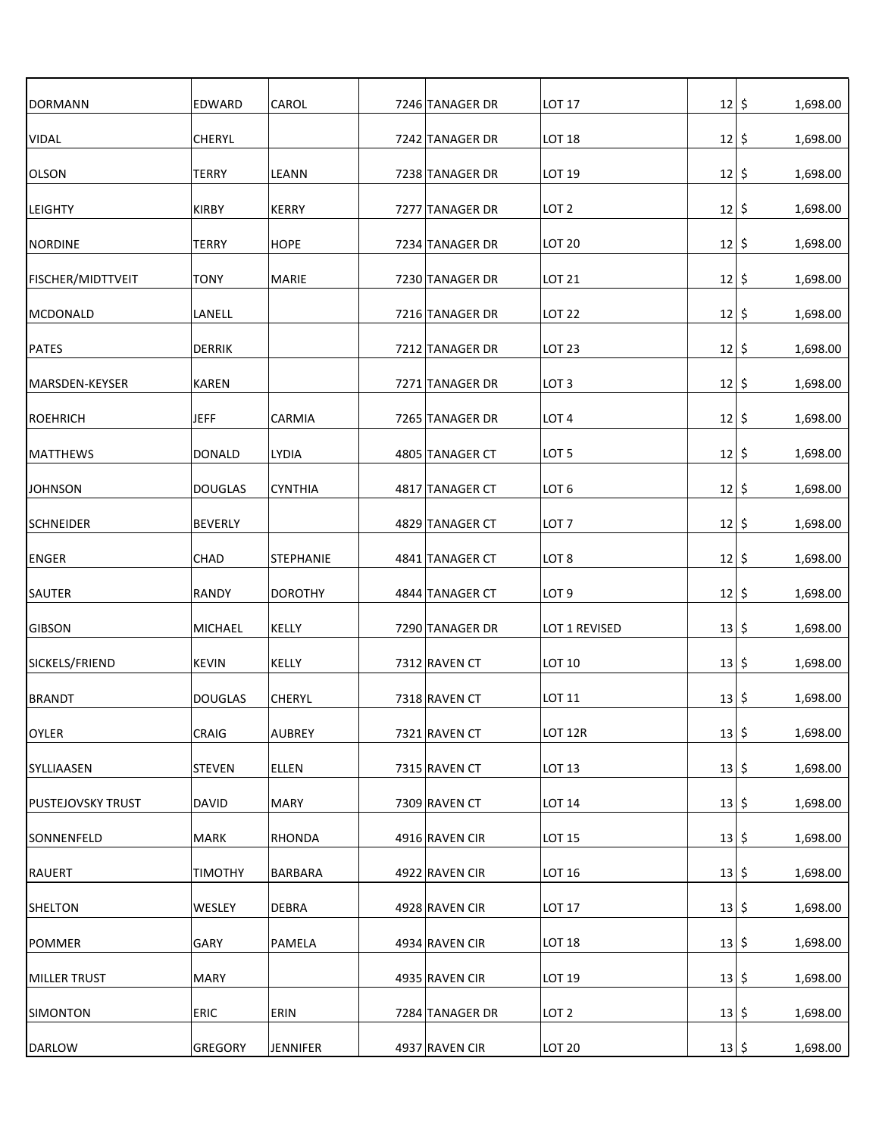| <b>DORMANN</b>           | EDWARD         | CAROL            | 7246 TANAGER DR | <b>LOT 17</b>      | 12          | \$<br>1,698.00 |
|--------------------------|----------------|------------------|-----------------|--------------------|-------------|----------------|
| VIDAL                    | <b>CHERYL</b>  |                  | 7242 TANAGER DR | <b>LOT 18</b>      | 12          | \$<br>1,698.00 |
| <b>OLSON</b>             | <b>TERRY</b>   | LEANN            | 7238 TANAGER DR | LOT 19             | 12          | \$<br>1,698.00 |
| <b>LEIGHTY</b>           | <b>KIRBY</b>   | <b>KERRY</b>     | 7277 TANAGER DR | LOT <sub>2</sub>   | 12          | \$<br>1,698.00 |
| NORDINE                  | <b>TERRY</b>   | <b>HOPE</b>      | 7234 TANAGER DR | LOT <sub>20</sub>  | 12 5        | 1,698.00       |
| <b>FISCHER/MIDTTVEIT</b> | <b>TONY</b>    | MARIE            | 7230 TANAGER DR | <b>LOT 21</b>      | $12 \mid 5$ | 1,698.00       |
| MCDONALD                 | LANELL         |                  | 7216 TANAGER DR | <b>LOT 22</b>      | 12 5        | 1,698.00       |
| PATES                    | <b>DERRIK</b>  |                  | 7212 TANAGER DR | <b>LOT 23</b>      | $12 \mid 5$ | 1,698.00       |
| MARSDEN-KEYSER           | <b>KAREN</b>   |                  | 7271 TANAGER DR | LOT <sub>3</sub>   | 12          | \$<br>1,698.00 |
| ROEHRICH                 | <b>JEFF</b>    | CARMIA           | 7265 TANAGER DR | LOT <sub>4</sub>   | 12          | \$<br>1,698.00 |
| <b>MATTHEWS</b>          | DONALD         | <b>LYDIA</b>     | 4805 TANAGER CT | LOT <sub>5</sub>   | 12          | \$<br>1,698.00 |
| <b>JOHNSON</b>           | <b>DOUGLAS</b> | <b>CYNTHIA</b>   | 4817 TANAGER CT | LOT <sub>6</sub>   | 12          | \$<br>1,698.00 |
| <b>SCHNEIDER</b>         | BEVERLY        |                  | 4829 TANAGER CT | LOT <sub>7</sub>   | 12          | \$<br>1,698.00 |
| <b>ENGER</b>             | <b>CHAD</b>    | <b>STEPHANIE</b> | 4841 TANAGER CT | LOT <sub>8</sub>   | 12          | \$<br>1,698.00 |
| <b>SAUTER</b>            | <b>RANDY</b>   | <b>DOROTHY</b>   | 4844 TANAGER CT | LOT <sub>9</sub>   | 12          | \$<br>1,698.00 |
| <b>GIBSON</b>            | <b>MICHAEL</b> | KELLY            | 7290 TANAGER DR | LOT 1 REVISED      | 13          | \$<br>1,698.00 |
| SICKELS/FRIEND           | <b>KEVIN</b>   | KELLY            | 7312 RAVEN CT   | LOT 10             | 13          | \$<br>1,698.00 |
| <b>BRANDT</b>            | <b>DOUGLAS</b> | <b>CHERYL</b>    | 7318 RAVEN CT   | LOT 11             | 13          | \$<br>1,698.00 |
| OYLER                    | CRAIG          | <b>AUBREY</b>    | 7321 RAVEN CT   | LOT <sub>12R</sub> | 13          | \$<br>1,698.00 |
| SYLLIAASEN               | <b>STEVEN</b>  | <b>ELLEN</b>     | 7315 RAVEN CT   | LOT 13             | 13 5        | 1,698.00       |
| <b>PUSTEJOVSKY TRUST</b> | <b>DAVID</b>   | <b>MARY</b>      | 7309 RAVEN CT   | <b>LOT 14</b>      | $13 \mid 5$ | 1,698.00       |
| SONNENFELD               | <b>MARK</b>    | RHONDA           | 4916 RAVEN CIR  | <b>LOT 15</b>      | 13 5        | 1,698.00       |
| RAUERT                   | <b>TIMOTHY</b> | <b>BARBARA</b>   | 4922 RAVEN CIR  | LOT 16             | $13 \mid 5$ | 1,698.00       |
| SHELTON                  | <b>WESLEY</b>  | <b>DEBRA</b>     | 4928 RAVEN CIR  | <b>LOT 17</b>      | $13 \mid 5$ | 1,698.00       |
| <b>POMMER</b>            | GARY           | PAMELA           | 4934 RAVEN CIR  | <b>LOT 18</b>      | $13 \mid 5$ | 1,698.00       |
| MILLER TRUST             | <b>MARY</b>    |                  | 4935 RAVEN CIR  | LOT 19             | 13 5        | 1,698.00       |
| SIMONTON                 | <b>ERIC</b>    | ERIN             | 7284 TANAGER DR | LOT <sub>2</sub>   | 13 5        | 1,698.00       |
| <b>DARLOW</b>            | GREGORY        | <b>JENNIFER</b>  | 4937 RAVEN CIR  | <b>LOT 20</b>      | $13 \mid 5$ | 1,698.00       |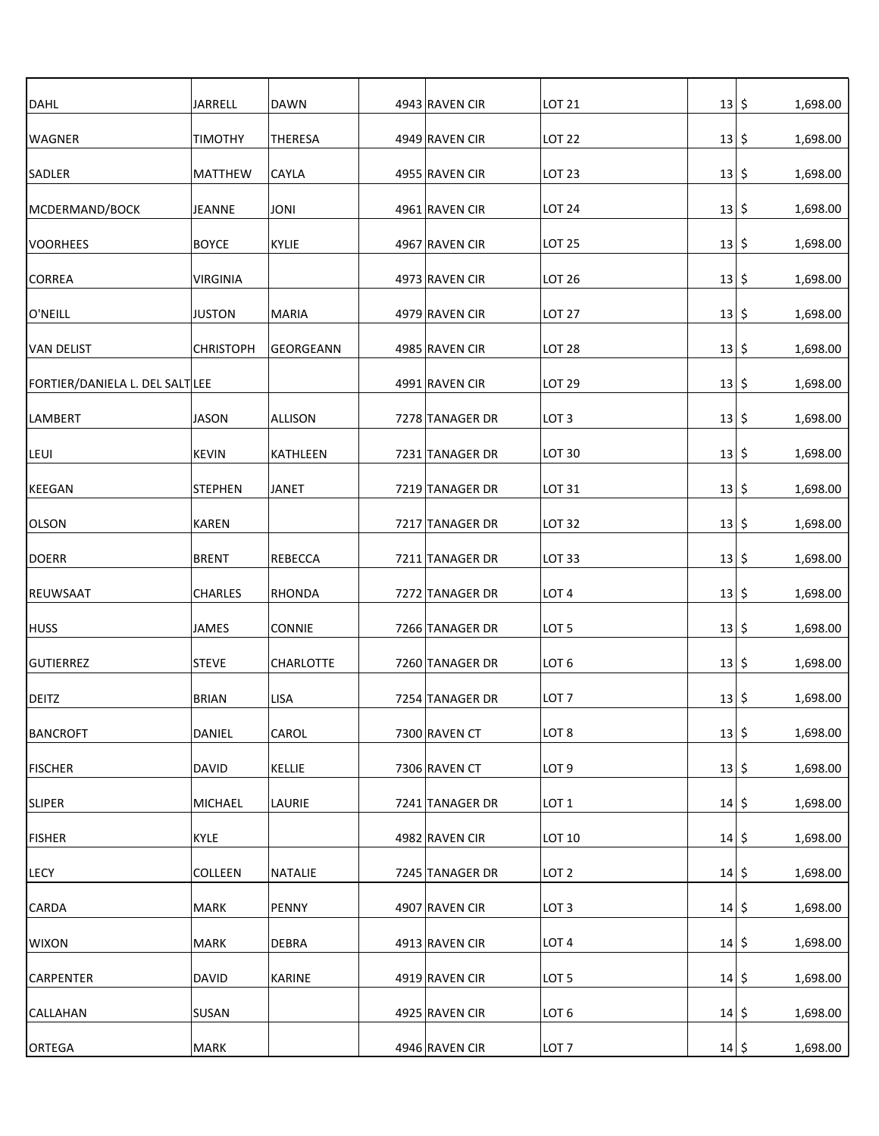| <b>DAHL</b>                     | <b>JARRELL</b>   | <b>DAWN</b>      | 4943 RAVEN CIR  | <b>LOT 21</b>    | 13 5        | 1,698.00        |
|---------------------------------|------------------|------------------|-----------------|------------------|-------------|-----------------|
| <b>WAGNER</b>                   | <b>TIMOTHY</b>   | <b>THERESA</b>   | 4949 RAVEN CIR  | <b>LOT 22</b>    | 13          | \$<br>1,698.00  |
| SADLER                          | <b>MATTHEW</b>   | <b>CAYLA</b>     | 4955 RAVEN CIR  | <b>LOT 23</b>    | 13          | \$<br>1,698.00  |
| MCDERMAND/BOCK                  | <b>JEANNE</b>    | <b>JONI</b>      | 4961 RAVEN CIR  | <b>LOT 24</b>    | 13          | \$,<br>1,698.00 |
| <b>VOORHEES</b>                 | <b>BOYCE</b>     | KYLIE            | 4967 RAVEN CIR  | <b>LOT 25</b>    | 13 5        | 1,698.00        |
| <b>CORREA</b>                   | <b>VIRGINIA</b>  |                  | 4973 RAVEN CIR  | <b>LOT 26</b>    | 13 5        | 1,698.00        |
| O'NEILL                         | <b>JUSTON</b>    | MARIA            | 4979 RAVEN CIR  | <b>LOT 27</b>    | 13 5        | 1,698.00        |
| <b>VAN DELIST</b>               | <b>CHRISTOPH</b> | GEORGEANN        | 4985 RAVEN CIR  | <b>LOT 28</b>    | 13          | -\$<br>1,698.00 |
| FORTIER/DANIELA L. DEL SALT LEE |                  |                  | 4991 RAVEN CIR  | <b>LOT 29</b>    | 13          | \$<br>1,698.00  |
| LAMBERT                         | <b>JASON</b>     | <b>ALLISON</b>   | 7278 TANAGER DR | LOT <sub>3</sub> | 13          | \$<br>1,698.00  |
| LEUI                            | <b>KEVIN</b>     | KATHLEEN         | 7231 TANAGER DR | <b>LOT 30</b>    | 13          | \$<br>1,698.00  |
| <b>KEEGAN</b>                   | <b>STEPHEN</b>   | <b>JANET</b>     | 7219 TANAGER DR | LOT 31           | 13          | \$<br>1,698.00  |
| <b>OLSON</b>                    | <b>KAREN</b>     |                  | 7217 TANAGER DR | <b>LOT 32</b>    | 13 5        | 1,698.00        |
| <b>DOERR</b>                    | <b>BRENT</b>     | <b>REBECCA</b>   | 7211 TANAGER DR | <b>LOT 33</b>    | 13          | \$<br>1,698.00  |
| <b>REUWSAAT</b>                 | <b>CHARLES</b>   | RHONDA           | 7272 TANAGER DR | LOT <sub>4</sub> | 13          | \$<br>1,698.00  |
| <b>HUSS</b>                     | JAMES            | <b>CONNIE</b>    | 7266 TANAGER DR | LOT <sub>5</sub> | 13          | \$<br>1,698.00  |
| <b>GUTIERREZ</b>                | <b>STEVE</b>     | <b>CHARLOTTE</b> | 7260 TANAGER DR | LOT <sub>6</sub> | 13          | \$<br>1,698.00  |
| <b>DEITZ</b>                    | <b>BRIAN</b>     | <b>LISA</b>      | 7254 TANAGER DR | LOT <sub>7</sub> | 13          | \$<br>1,698.00  |
| <b>BANCROFT</b>                 | DANIEL           | CAROL            | 7300 RAVEN CT   | LOT <sub>8</sub> | 13          | \$<br>1,698.00  |
| <b>FISCHER</b>                  | <b>DAVID</b>     | KELLIE           | 7306 RAVEN CT   | LOT <sub>9</sub> | 13          | \$<br>1,698.00  |
| <b>SLIPER</b>                   | <b>MICHAEL</b>   | LAURIE           | 7241 TANAGER DR | LOT <sub>1</sub> | 14 5        | 1,698.00        |
| <b>FISHER</b>                   | KYLE             |                  | 4982 RAVEN CIR  | LOT 10           | 14 5        | 1,698.00        |
| <b>LECY</b>                     | COLLEEN          | <b>NATALIE</b>   | 7245 TANAGER DR | LOT <sub>2</sub> | 14 5        | 1,698.00        |
| <b>CARDA</b>                    | MARK             | PENNY            | 4907 RAVEN CIR  | LOT <sub>3</sub> | 14 5        | 1,698.00        |
| <b>WIXON</b>                    | MARK             | <b>DEBRA</b>     | 4913 RAVEN CIR  | LOT <sub>4</sub> | 14 5        | 1,698.00        |
| CARPENTER                       | <b>DAVID</b>     | <b>KARINE</b>    | 4919 RAVEN CIR  | LOT <sub>5</sub> | 14 5        | 1,698.00        |
| CALLAHAN                        | SUSAN            |                  | 4925 RAVEN CIR  | LOT <sub>6</sub> | 14 5        | 1,698.00        |
| ORTEGA                          | MARK             |                  | 4946 RAVEN CIR  | LOT <sub>7</sub> | $14 \mid 5$ | 1,698.00        |